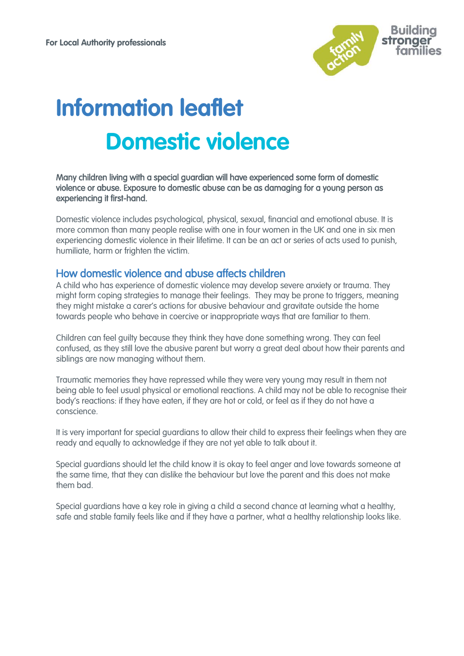

# **Information leaflet Domestic violence**

#### Many children living with a special guardian will have experienced some form of domestic violence or abuse. Exposure to domestic abuse can be as damaging for a young person as experiencing it first-hand.

Domestic violence includes psychological, physical, sexual, financial and emotional abuse. It is more common than many people realise with one in four women in the UK and one in six men experiencing domestic violence in their lifetime. It can be an act or series of acts used to punish, humiliate, harm or frighten the victim.

# How domestic violence and abuse affects children

A child who has experience of domestic violence may develop severe anxiety or trauma. They might form coping strategies to manage their feelings. They may be prone to triggers, meaning they might mistake a carer's actions for abusive behaviour and gravitate outside the home towards people who behave in coercive or inappropriate ways that are familiar to them.

Children can feel guilty because they think they have done something wrong. They can feel confused, as they still love the abusive parent but worry a great deal about how their parents and siblings are now managing without them.

Traumatic memories they have repressed while they were very young may result in them not being able to feel usual physical or emotional reactions. A child may not be able to recognise their body's reactions: if they have eaten, if they are hot or cold, or feel as if they do not have a conscience.

It is very important for special guardians to allow their child to express their feelings when they are ready and equally to acknowledge if they are not yet able to talk about it.

Special guardians should let the child know it is okay to feel anger and love towards someone at the same time, that they can dislike the behaviour but love the parent and this does not make them bad.

Special guardians have a key role in giving a child a second chance at learning what a healthy, safe and stable family feels like and if they have a partner, what a healthy relationship looks like.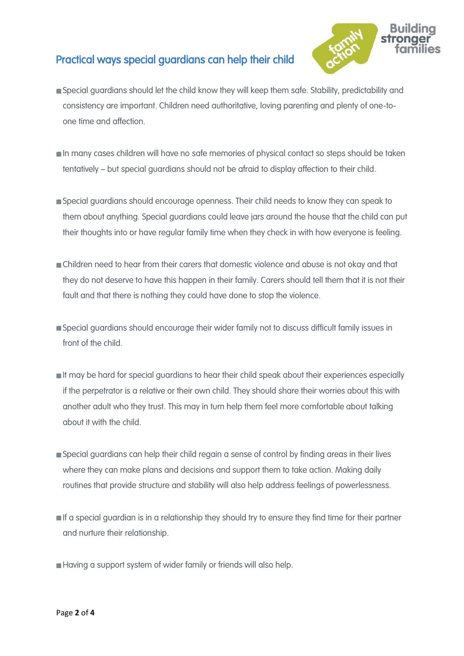# Practical ways special guardians can help their child



- Special guardians should let the child know they will keep them safe. Stability, predictability and consistency are important. Children need authoritative, loving parenting and plenty of one-toone time and affection.
- In many cases children will have no safe memories of physical contact so steps should be taken tentatively – but special guardians should not be afraid to display affection to their child.
- Special guardians should encourage openness. Their child needs to know they can speak to them about anything. Special guardians could leave jars around the house that the child can put their thoughts into or have regular family time when they check in with how everyone is feeling.
- Children need to hear from their carers that domestic violence and abuse is not okay and that they do not deserve to have this happen in their family. Carers should tell them that it is not their fault and that there is nothing they could have done to stop the violence.
- **Special guardians should encourage their wider family not to discuss difficult family issues in** front of the child.
- **If may be hard for special guardians to hear their child speak about their experiences especially** if the perpetrator is a relative or their own child. They should share their worries about this with another adult who they trust. This may in turn help them feel more comfortable about talking about it with the child.
- Special guardians can help their child regain a sense of control by finding areas in their lives where they can make plans and decisions and support them to take action. Making daily routines that provide structure and stability will also help address feelings of powerlessness.
- If a special guardian is in a relationship they should try to ensure they find time for their partner and nurture their relationship.
- Having a support system of wider family or friends will also help.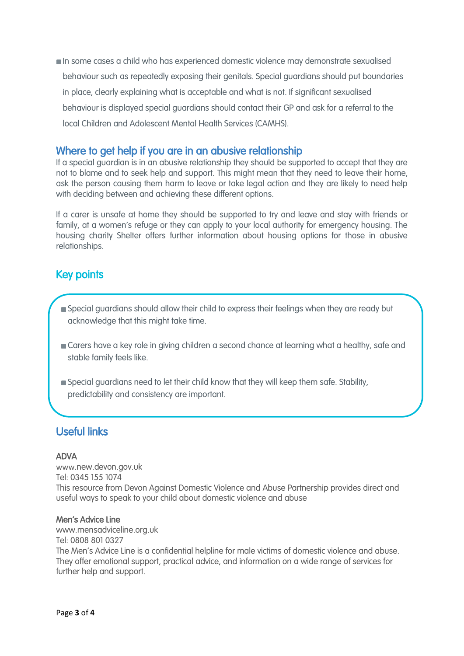In some cases a child who has experienced domestic violence may demonstrate sexualised behaviour such as repeatedly exposing their genitals. Special guardians should put boundaries in place, clearly explaining what is acceptable and what is not. If significant sexualised behaviour is displayed special guardians should contact their GP and ask for a referral to the local Children and Adolescent Mental Health Services (CAMHS).

# Where to get help if you are in an abusive relationship

If a special guardian is in an abusive relationship they should be supported to accept that they are not to blame and to seek help and support. This might mean that they need to leave their home, ask the person causing them harm to leave or take legal action and they are likely to need help with deciding between and achieving these different options.

If a carer is unsafe at home they should be supported to try and leave and stay with friends or family, at a women's refuge or they can apply to your local authority for emergency housing. The housing charity Shelter offers further information about housing options for those in abusive relationships.

## $\frac{1}{2}$ Key points

j

- Special guardians should allow their child to express their feelings when they are ready but acknowledge that this might take time.
- Carers have a key role in giving children a second chance at learning what a healthy, safe and stable family feels like.
- Special guardians need to let their child know that they will keep them safe. Stability, predictability and consistency are important.

# Useful links

#### ADVA

l

www.new.devon.gov.uk Tel: 0345 155 1074 This resource from Devon Against Domestic Violence and Abuse Partnership provides direct and useful ways to speak to your child about domestic violence and abuse

#### Men's Advice Line

www.mensadviceline.org.uk Tel: 0808 801 0327 The Men's Advice Line is a confidential helpline for male victims of domestic violence and abuse. They offer emotional support, practical advice, and information on a wide range of services for further help and support.